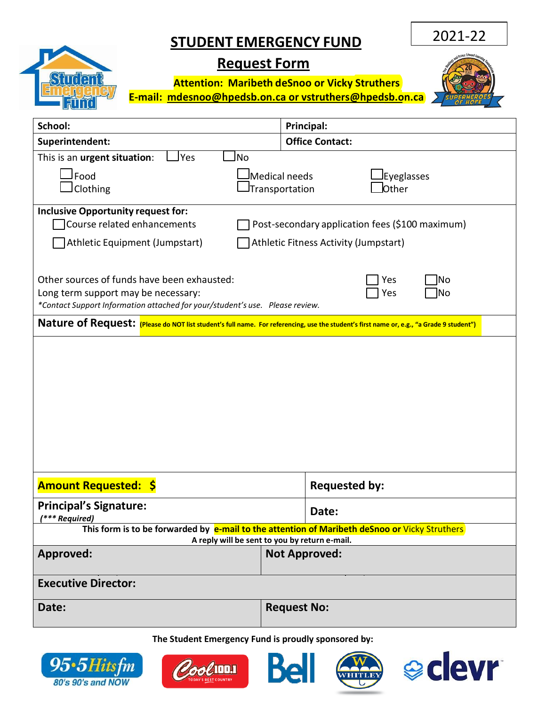## **STUDENT EMERGENCY FUND**

2021-22

## **Request Form**

**Attention: Maribeth deSnoo or Vicky Struthers E-mail: [mdesnoo@hpedsb.on.ca](mailto:mdesnoo@hpedsb.on.ca%20or%20lnoel@hpedsb.on.ca) or vstruthers@hpedsb.on.ca** 



| School:                                                                                                                                                                                                | Principal:                                                           |  |
|--------------------------------------------------------------------------------------------------------------------------------------------------------------------------------------------------------|----------------------------------------------------------------------|--|
| Superintendent:                                                                                                                                                                                        | <b>Office Contact:</b>                                               |  |
| No<br><b>Yes</b><br>This is an urgent situation:                                                                                                                                                       |                                                                      |  |
| Food<br>Clothing                                                                                                                                                                                       | Medical needs<br><b>Eyeglasses</b><br>Other<br><b>Transportation</b> |  |
| <b>Inclusive Opportunity request for:</b><br>Course related enhancements<br>Post-secondary application fees (\$100 maximum)<br>Athletic Fitness Activity (Jumpstart)<br>Athletic Equipment (Jumpstart) |                                                                      |  |
| Other sources of funds have been exhausted:<br>Yes<br>No<br>Long term support may be necessary:<br>No<br>Yes<br>*Contact Support Information attached for your/student's use. Please review.           |                                                                      |  |
| Nature of Request: (Please do NOT list student's full name. For referencing, use the student's first name or, e.g., "a Grade 9 student")                                                               |                                                                      |  |
|                                                                                                                                                                                                        |                                                                      |  |
| <b>Amount Requested: \$</b>                                                                                                                                                                            | <b>Requested by:</b>                                                 |  |
| <b>Principal's Signature:</b><br>(*** Required)                                                                                                                                                        | Date:                                                                |  |
| This form is to be forwarded by e-mail to the attention of Maribeth deSnoo or Vicky Struthers<br>A reply will be sent to you by return e-mail.                                                         |                                                                      |  |
| <b>Approved:</b>                                                                                                                                                                                       | <b>Not Approved:</b>                                                 |  |
| <b>Executive Director:</b>                                                                                                                                                                             |                                                                      |  |
| Date:                                                                                                                                                                                                  | <b>Request No:</b>                                                   |  |

**The Student Emergency Fund is proudly sponsored by:**



Student